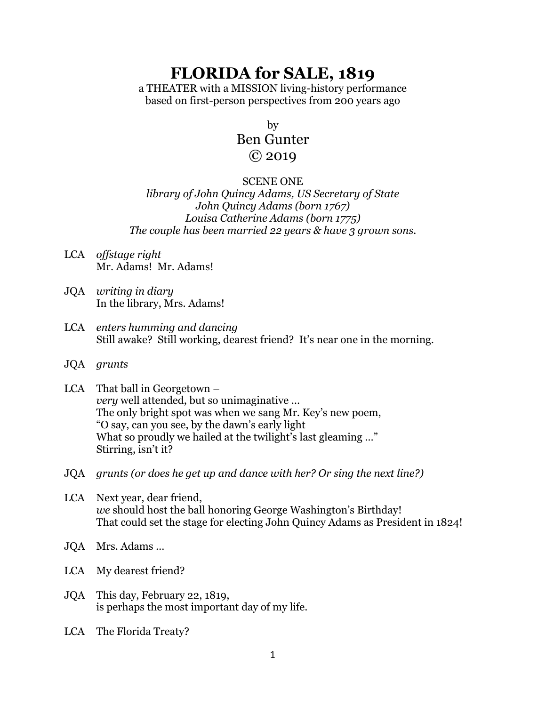# **FLORIDA for SALE, 1819**

a THEATER with a MISSION living-history performance based on first-person perspectives from 200 years ago

by

## Ben Gunter © 2019

#### SCENE ONE

*library of John Quincy Adams, US Secretary of State John Quincy Adams (born 1767) Louisa Catherine Adams (born 1775) The couple has been married 22 years & have 3 grown sons.*

- LCA *offstage right* Mr. Adams! Mr. Adams!
- JQA *writing in diary* In the library, Mrs. Adams!
- LCA *enters humming and dancing* Still awake? Still working, dearest friend? It's near one in the morning.
- JQA *grunts*
- LCA That ball in Georgetown *very* well attended, but so unimaginative … The only bright spot was when we sang Mr. Key's new poem, "O say, can you see, by the dawn's early light What so proudly we hailed at the twilight's last gleaming ..." Stirring, isn't it?
- JQA *grunts (or does he get up and dance with her? Or sing the next line?)*
- LCA Next year, dear friend, *we* should host the ball honoring George Washington's Birthday! That could set the stage for electing John Quincy Adams as President in 1824!
- JQA Mrs. Adams …
- LCA My dearest friend?
- JQA This day, February 22, 1819, is perhaps the most important day of my life.
- LCA The Florida Treaty?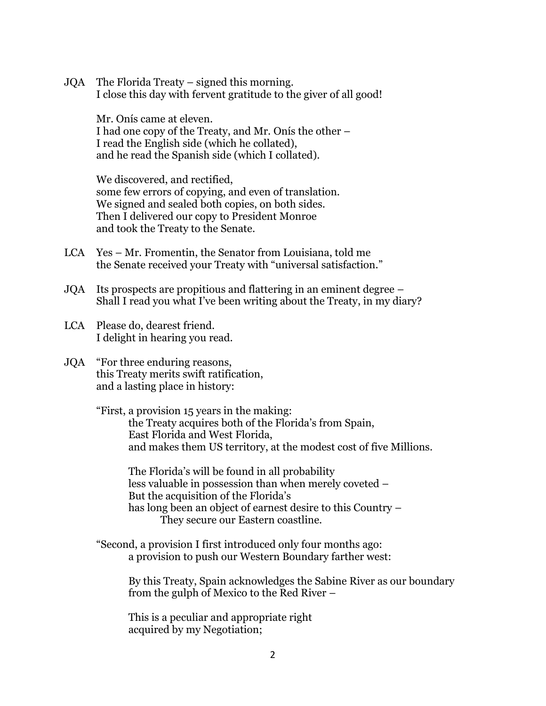JQA The Florida Treaty – signed this morning. I close this day with fervent gratitude to the giver of all good!

Mr. Onís came at eleven. I had one copy of the Treaty, and Mr. Onís the other – I read the English side (which he collated), and he read the Spanish side (which I collated).

We discovered, and rectified, some few errors of copying, and even of translation. We signed and sealed both copies, on both sides. Then I delivered our copy to President Monroe and took the Treaty to the Senate.

- LCA Yes Mr. Fromentin, the Senator from Louisiana, told me the Senate received your Treaty with "universal satisfaction."
- JQA Its prospects are propitious and flattering in an eminent degree Shall I read you what I've been writing about the Treaty, in my diary?
- LCA Please do, dearest friend. I delight in hearing you read.
- JQA "For three enduring reasons, this Treaty merits swift ratification, and a lasting place in history:

"First, a provision 15 years in the making: the Treaty acquires both of the Florida's from Spain, East Florida and West Florida, and makes them US territory, at the modest cost of five Millions.

The Florida's will be found in all probability less valuable in possession than when merely coveted – But the acquisition of the Florida's has long been an object of earnest desire to this Country – They secure our Eastern coastline.

"Second, a provision I first introduced only four months ago: a provision to push our Western Boundary farther west:

> By this Treaty, Spain acknowledges the Sabine River as our boundary from the gulph of Mexico to the Red River –

This is a peculiar and appropriate right acquired by my Negotiation;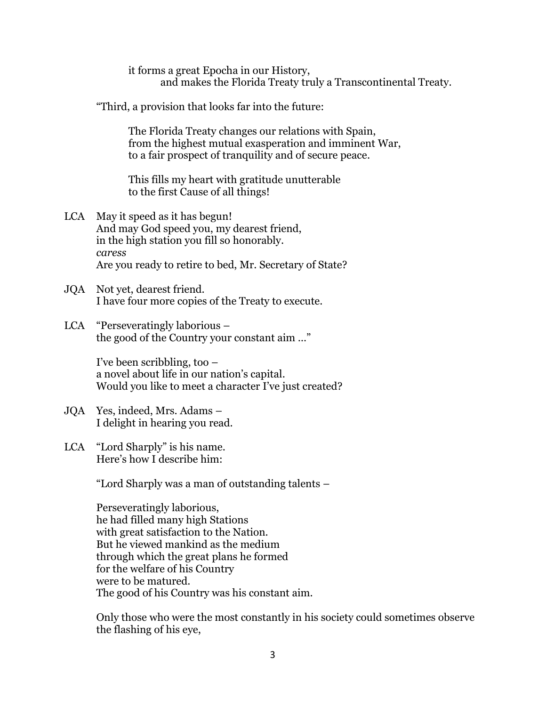it forms a great Epocha in our History, and makes the Florida Treaty truly a Transcontinental Treaty.

"Third, a provision that looks far into the future:

The Florida Treaty changes our relations with Spain, from the highest mutual exasperation and imminent War, to a fair prospect of tranquility and of secure peace.

This fills my heart with gratitude unutterable to the first Cause of all things!

- LCA May it speed as it has begun! And may God speed you, my dearest friend, in the high station you fill so honorably. *caress* Are you ready to retire to bed, Mr. Secretary of State?
- JQA Not yet, dearest friend. I have four more copies of the Treaty to execute.
- LCA "Perseveratingly laborious the good of the Country your constant aim …"

I've been scribbling, too – a novel about life in our nation's capital. Would you like to meet a character I've just created?

- JQA Yes, indeed, Mrs. Adams I delight in hearing you read.
- LCA "Lord Sharply" is his name. Here's how I describe him:

"Lord Sharply was a man of outstanding talents –

Perseveratingly laborious, he had filled many high Stations with great satisfaction to the Nation. But he viewed mankind as the medium through which the great plans he formed for the welfare of his Country were to be matured. The good of his Country was his constant aim.

Only those who were the most constantly in his society could sometimes observe the flashing of his eye,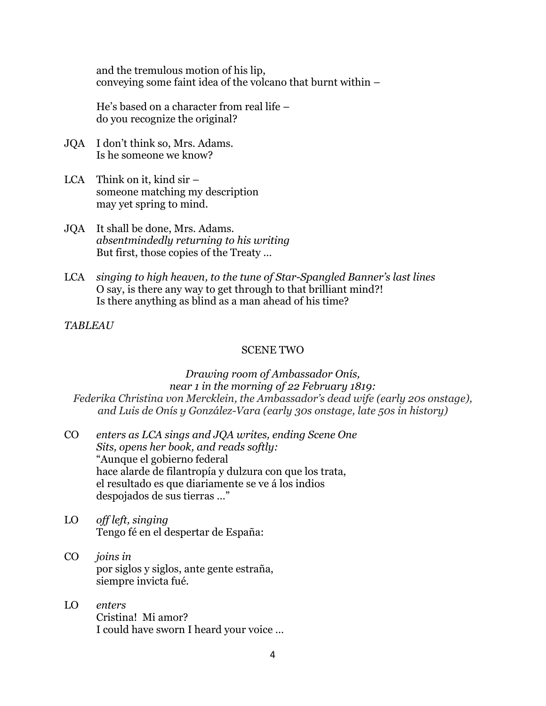and the tremulous motion of his lip, conveying some faint idea of the volcano that burnt within –

He's based on a character from real life – do you recognize the original?

- JQA I don't think so, Mrs. Adams. Is he someone we know?
- LCA Think on it, kind sir someone matching my description may yet spring to mind.
- JQA It shall be done, Mrs. Adams. *absentmindedly returning to his writing* But first, those copies of the Treaty …
- LCA *singing to high heaven, to the tune of Star-Spangled Banner's last lines* O say, is there any way to get through to that brilliant mind?! Is there anything as blind as a man ahead of his time?

#### *TABLEAU*

#### SCENE TWO

*Drawing room of Ambassador Onís, near 1 in the morning of 22 February 1819: Federika Christina von Mercklein, the Ambassador's dead wife (early 20s onstage), and Luis de Onís y González-Vara (early 30s onstage, late 50s in history)*

- CO *enters as LCA sings and JQA writes, ending Scene One Sits, opens her book, and reads softly:* "Aunque el gobierno federal hace alarde de filantropía y dulzura con que los trata, el resultado es que diariamente se ve á los indios despojados de sus tierras …"
- LO *off left, singing* Tengo fé en el despertar de España:
- CO *joins in*  por siglos y siglos, ante gente estraña, siempre invicta fué.
- LO *enters* Cristina! Mi amor? I could have sworn I heard your voice …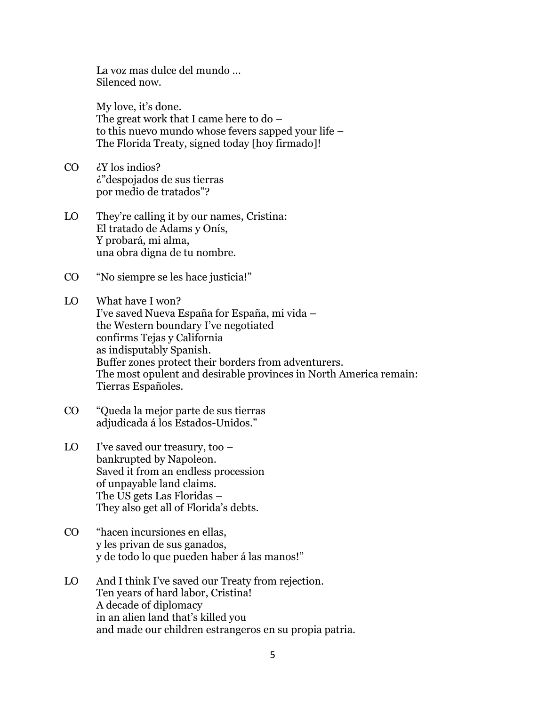La voz mas dulce del mundo … Silenced now.

My love, it's done. The great work that I came here to do – to this nuevo mundo whose fevers sapped your life – The Florida Treaty, signed today [hoy firmado]!

- CO ¿Y los indios? ¿"despojados de sus tierras por medio de tratados"?
- LO They're calling it by our names, Cristina: El tratado de Adams y Onís, Y probará, mi alma, una obra digna de tu nombre.
- CO "No siempre se les hace justicia!"

LO What have I won? I've saved Nueva España for España, mi vida – the Western boundary I've negotiated confirms Tejas y California as indisputably Spanish. Buffer zones protect their borders from adventurers. The most opulent and desirable provinces in North America remain: Tierras Españoles.

- CO "Queda la mejor parte de sus tierras adjudicada á los Estados-Unidos."
- LO I've saved our treasury, too bankrupted by Napoleon. Saved it from an endless procession of unpayable land claims. The US gets Las Floridas – They also get all of Florida's debts.
- CO "hacen incursiones en ellas, y les privan de sus ganados, y de todo lo que pueden haber á las manos!"
- LO And I think I've saved our Treaty from rejection. Ten years of hard labor, Cristina! A decade of diplomacy in an alien land that's killed you and made our children estrangeros en su propia patria.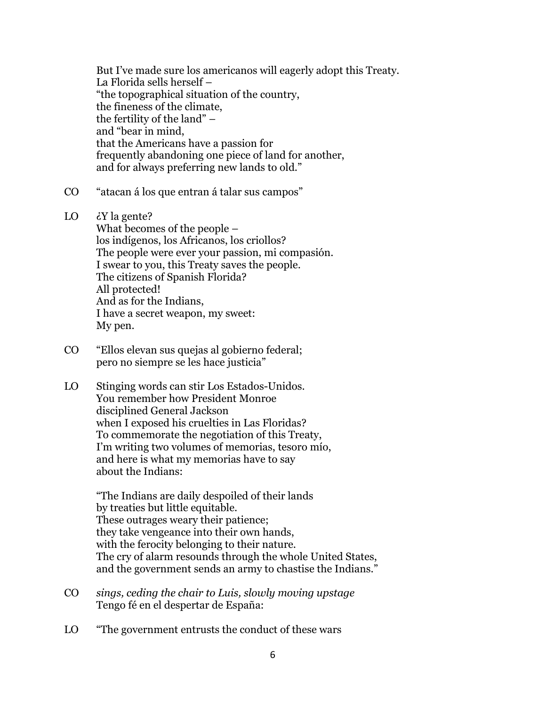But I've made sure los americanos will eagerly adopt this Treaty. La Florida sells herself – "the topographical situation of the country, the fineness of the climate, the fertility of the land" – and "bear in mind, that the Americans have a passion for frequently abandoning one piece of land for another, and for always preferring new lands to old."

- CO "atacan á los que entran á talar sus campos"
- LO ¿Y la gente?

What becomes of the people – los indígenos, los Africanos, los criollos? The people were ever your passion, mi compasión. I swear to you, this Treaty saves the people. The citizens of Spanish Florida? All protected! And as for the Indians, I have a secret weapon, my sweet: My pen.

- CO "Ellos elevan sus quejas al gobierno federal; pero no siempre se les hace justicia"
- LO Stinging words can stir Los Estados-Unidos. You remember how President Monroe disciplined General Jackson when I exposed his cruelties in Las Floridas? To commemorate the negotiation of this Treaty, I'm writing two volumes of memorias, tesoro mío, and here is what my memorias have to say about the Indians:

"The Indians are daily despoiled of their lands by treaties but little equitable. These outrages weary their patience; they take vengeance into their own hands, with the ferocity belonging to their nature. The cry of alarm resounds through the whole United States, and the government sends an army to chastise the Indians."

- CO *sings, ceding the chair to Luis, slowly moving upstage* Tengo fé en el despertar de España:
- LO "The government entrusts the conduct of these wars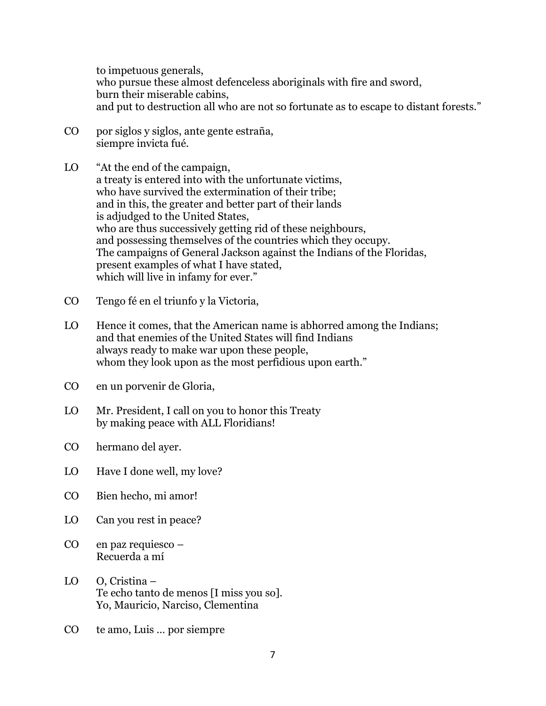to impetuous generals, who pursue these almost defenceless aboriginals with fire and sword, burn their miserable cabins, and put to destruction all who are not so fortunate as to escape to distant forests."

- CO por siglos y siglos, ante gente estraña, siempre invicta fué.
- LO "At the end of the campaign, a treaty is entered into with the unfortunate victims, who have survived the extermination of their tribe; and in this, the greater and better part of their lands is adjudged to the United States, who are thus successively getting rid of these neighbours, and possessing themselves of the countries which they occupy. The campaigns of General Jackson against the Indians of the Floridas, present examples of what I have stated, which will live in infamy for ever."
- CO Tengo fé en el triunfo y la Victoria,
- LO Hence it comes, that the American name is abhorred among the Indians; and that enemies of the United States will find Indians always ready to make war upon these people, whom they look upon as the most perfidious upon earth."
- CO en un porvenir de Gloria,
- LO Mr. President, I call on you to honor this Treaty by making peace with ALL Floridians!
- CO hermano del ayer.
- LO Have I done well, my love?
- CO Bien hecho, mi amor!
- LO Can you rest in peace?
- CO en paz requiesco Recuerda a mí
- LO O, Cristina Te echo tanto de menos [I miss you so]. Yo, Mauricio, Narciso, Clementina
- CO te amo, Luis … por siempre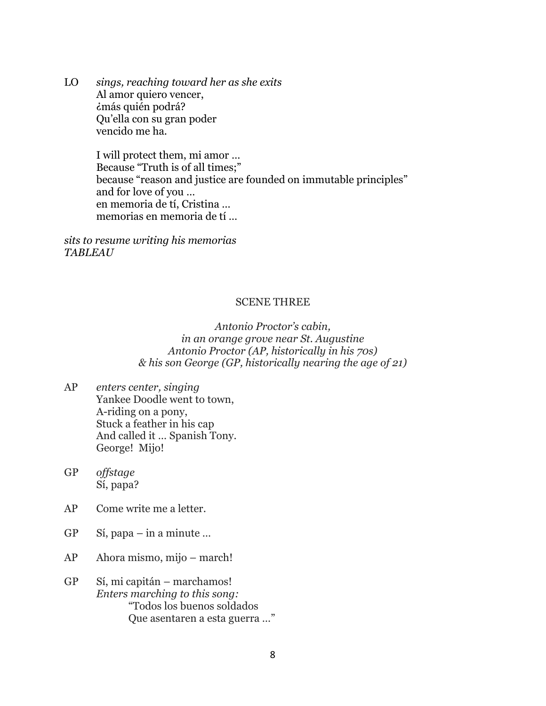LO *sings, reaching toward her as she exits* Al amor quiero vencer, ¿más quién podrá? Qu'ella con su gran poder vencido me ha.

> I will protect them, mi amor … Because "Truth is of all times;" because "reason and justice are founded on immutable principles" and for love of you … en memoria de tí, Cristina … memorias en memoria de tí …

*sits to resume writing his memorias TABLEAU*

#### SCENE THREE

*Antonio Proctor's cabin, in an orange grove near St. Augustine Antonio Proctor (AP, historically in his 70s) & his son George (GP, historically nearing the age of 21)*

- AP *enters center, singing* Yankee Doodle went to town, A-riding on a pony, Stuck a feather in his cap And called it … Spanish Tony. George! Mijo!
- GP *offstage* Sí, papa?
- AP Come write me a letter.
- GP Sí, papa in a minute …
- AP Ahora mismo, mijo march!
- GP Sí, mi capitán marchamos! *Enters marching to this song:* "Todos los buenos soldados Que asentaren a esta guerra …"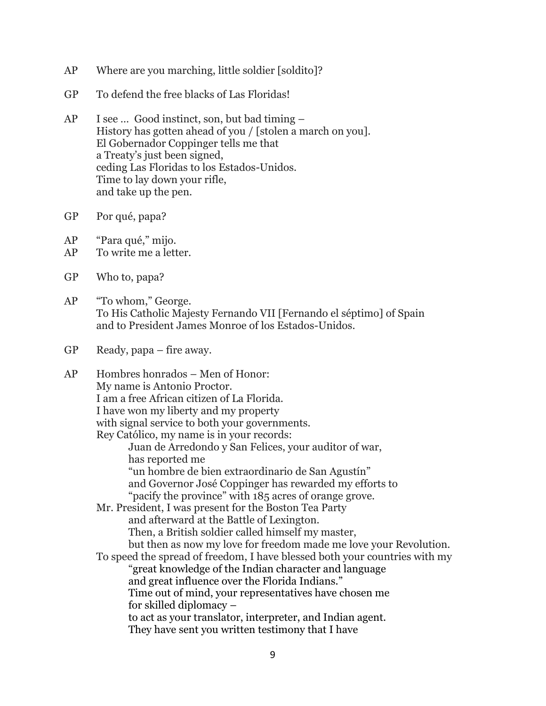- AP Where are you marching, little soldier [soldito]?
- GP To defend the free blacks of Las Floridas!
- AP I see … Good instinct, son, but bad timing History has gotten ahead of you / [stolen a march on you]. El Gobernador Coppinger tells me that a Treaty's just been signed, ceding Las Floridas to los Estados-Unidos. Time to lay down your rifle, and take up the pen.
- GP Por qué, papa?
- AP "Para qué," mijo.
- AP To write me a letter.
- GP Who to, papa?
- AP "To whom," George. To His Catholic Majesty Fernando VII [Fernando el séptimo] of Spain and to President James Monroe of los Estados-Unidos.
- GP Ready, papa fire away.

| AP | Hombres honrados – Men of Honor:                                           |
|----|----------------------------------------------------------------------------|
|    | My name is Antonio Proctor.                                                |
|    | I am a free African citizen of La Florida.                                 |
|    | I have won my liberty and my property                                      |
|    | with signal service to both your governments.                              |
|    | Rey Católico, my name is in your records:                                  |
|    | Juan de Arredondo y San Felices, your auditor of war,                      |
|    | has reported me                                                            |
|    | "un hombre de bien extraordinario de San Agustín"                          |
|    | and Governor José Coppinger has rewarded my efforts to                     |
|    | "pacify the province" with 185 acres of orange grove.                      |
|    | Mr. President, I was present for the Boston Tea Party                      |
|    | and afterward at the Battle of Lexington.                                  |
|    | Then, a British soldier called himself my master,                          |
|    | but then as now my love for freedom made me love your Revolution.          |
|    | To speed the spread of freedom, I have blessed both your countries with my |
|    | "great knowledge of the Indian character and language                      |
|    | and great influence over the Florida Indians."                             |
|    | Time out of mind, your representatives have chosen me                      |
|    | for skilled diplomacy –                                                    |
|    | to act as your translator, interpreter, and Indian agent.                  |
|    | They have sent you written testimony that I have                           |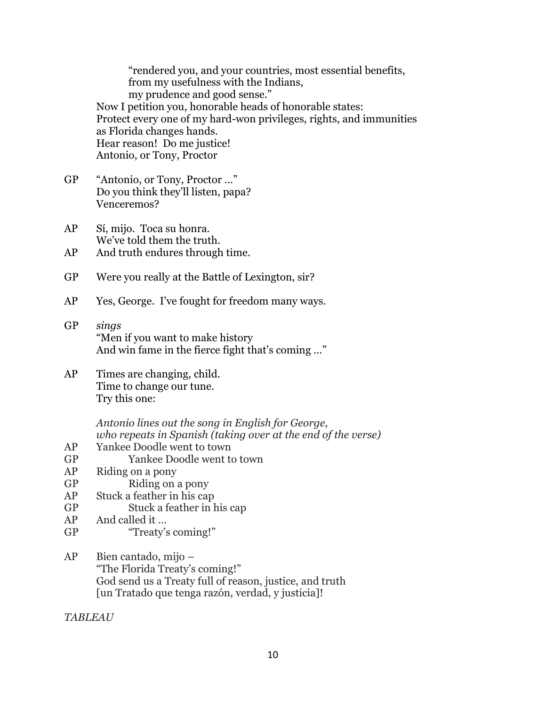"rendered you, and your countries, most essential benefits, from my usefulness with the Indians, my prudence and good sense." Now I petition you, honorable heads of honorable states: Protect every one of my hard-won privileges, rights, and immunities as Florida changes hands. Hear reason! Do me justice! Antonio, or Tony, Proctor

- GP "Antonio, or Tony, Proctor …" Do you think they'll listen, papa? Venceremos?
- AP Sí, mijo. Toca su honra. We've told them the truth.
- AP And truth endures through time.
- GP Were you really at the Battle of Lexington, sir?
- AP Yes, George. I've fought for freedom many ways.
- GP *sings* "Men if you want to make history And win fame in the fierce fight that's coming …"
- AP Times are changing, child. Time to change our tune. Try this one:

*Antonio lines out the song in English for George, who repeats in Spanish (taking over at the end of the verse)*

- AP Yankee Doodle went to town
- GP Yankee Doodle went to town
- AP Riding on a pony
- GP Riding on a pony
- AP Stuck a feather in his cap
- GP Stuck a feather in his cap
- AP And called it …
- GP "Treaty's coming!"
- AP Bien cantado, mijo "The Florida Treaty's coming!" God send us a Treaty full of reason, justice, and truth [un Tratado que tenga razón, verdad, y justicia]!

*TABLEAU*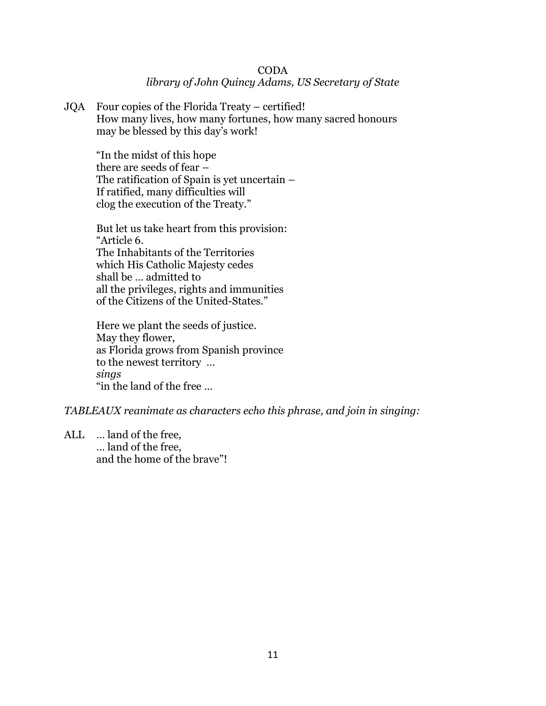#### CODA *library of John Quincy Adams, US Secretary of State*

JQA Four copies of the Florida Treaty – certified! How many lives, how many fortunes, how many sacred honours may be blessed by this day's work!

"In the midst of this hope there are seeds of fear – The ratification of Spain is yet uncertain – If ratified, many difficulties will clog the execution of the Treaty."

But let us take heart from this provision: "Article 6. The Inhabitants of the Territories which His Catholic Majesty cedes shall be … admitted to all the privileges, rights and immunities of the Citizens of the United-States."

Here we plant the seeds of justice. May they flower, as Florida grows from Spanish province to the newest territory … *sings* "in the land of the free …

*TABLEAUX reanimate as characters echo this phrase, and join in singing:*

ALL … land of the free, … land of the free, and the home of the brave"!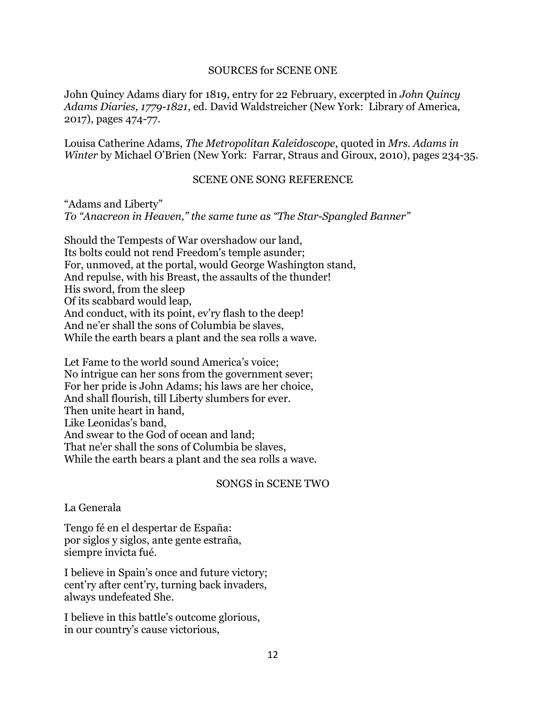#### SOURCES for SCENE ONE

John Quincy Adams diary for 1819, entry for 22 February, excerpted in *John Quincy Adams Diaries, 1779-1821*, ed. David Waldstreicher (New York: Library of America, 2017), pages 474-77.

Louisa Catherine Adams, *The Metropolitan Kaleidoscope*, quoted in *Mrs. Adams in Winter* by Michael O'Brien (New York: Farrar, Straus and Giroux, 2010), pages 234-35.

#### SCENE ONE SONG REFERENCE

"Adams and Liberty" *To "Anacreon in Heaven," the same tune as "The Star-Spangled Banner"*

Should the Tempests of War overshadow our land, Its bolts could not rend Freedom's temple asunder; For, unmoved, at the portal, would George Washington stand, And repulse, with his Breast, the assaults of the thunder! His sword, from the sleep Of its scabbard would leap, And conduct, with its point, ev'ry flash to the deep! And ne'er shall the sons of Columbia be slaves, While the earth bears a plant and the sea rolls a wave.

Let Fame to the world sound America's voice; No intrigue can her sons from the government sever; For her pride is John Adams; his laws are her choice, And shall flourish, till Liberty slumbers for ever. Then unite heart in hand, Like Leonidas's band, And swear to the God of ocean and land; That ne'er shall the sons of Columbia be slaves, While the earth bears a plant and the sea rolls a wave.

#### SONGS in SCENE TWO

#### La Generala

Tengo fé en el despertar de España: por siglos y siglos, ante gente estraña, siempre invicta fué.

I believe in Spain's once and future victory; cent'ry after cent'ry, turning back invaders, always undefeated She.

I believe in this battle's outcome glorious, in our country's cause victorious,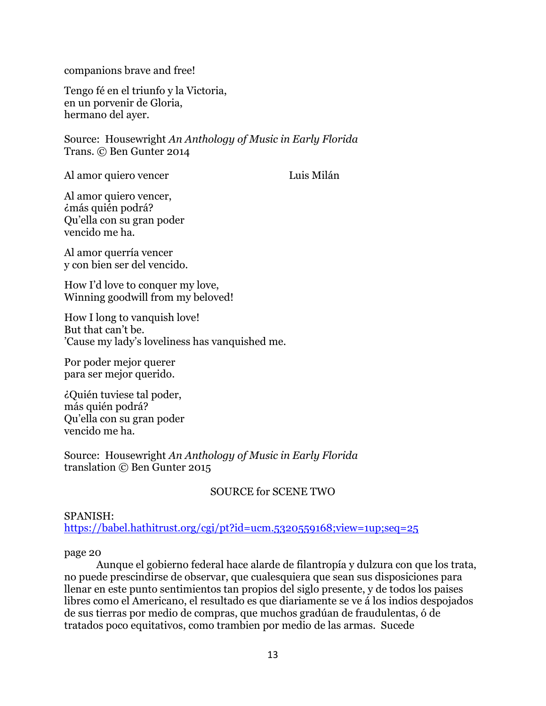companions brave and free!

Tengo fé en el triunfo y la Victoria, en un porvenir de Gloria, hermano del ayer.

Source: Housewright *An Anthology of Music in Early Florida* Trans. © Ben Gunter 2014

Al amor quiero vencer Luis Milán

Al amor quiero vencer, ¿más quién podrá? Qu'ella con su gran poder vencido me ha.

Al amor querría vencer y con bien ser del vencido.

How I'd love to conquer my love, Winning goodwill from my beloved!

How I long to vanquish love! But that can't be. 'Cause my lady's loveliness has vanquished me.

Por poder mejor querer para ser mejor querido.

¿Quién tuviese tal poder, más quién podrá? Qu'ella con su gran poder vencido me ha.

Source: Housewright *An Anthology of Music in Early Florida* translation © Ben Gunter 2015

#### SOURCE for SCENE TWO

#### SPANISH:

<https://babel.hathitrust.org/cgi/pt?id=ucm.5320559168;view=1up;seq=25>

#### page 20

Aunque el gobierno federal hace alarde de filantropía y dulzura con que los trata, no puede prescindirse de observar, que cualesquiera que sean sus disposiciones para llenar en este punto sentimientos tan propios del siglo presente, y de todos los paises libres como el Americano, el resultado es que diariamente se ve á los indios despojados de sus tierras por medio de compras, que muchos gradúan de fraudulentas, ó de tratados poco equitativos, como trambien por medio de las armas. Sucede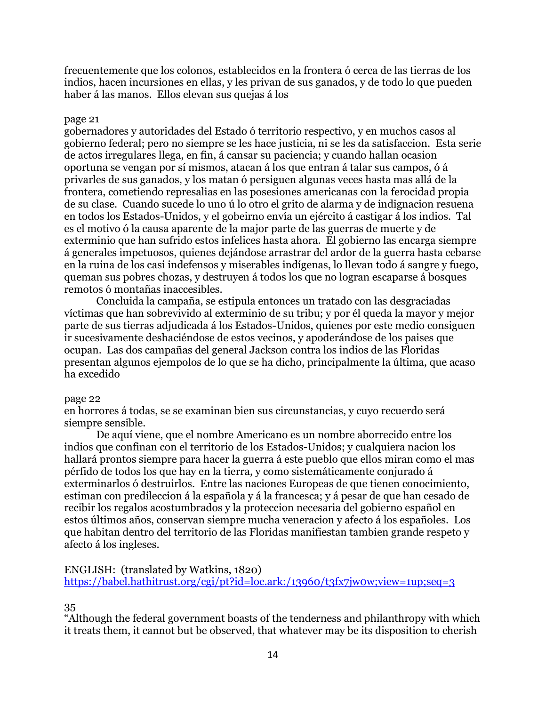frecuentemente que los colonos, establecidos en la frontera ó cerca de las tierras de los indios, hacen incursiones en ellas, y les privan de sus ganados, y de todo lo que pueden haber á las manos. Ellos elevan sus quejas á los

#### page 21

gobernadores y autoridades del Estado ó territorio respectivo, y en muchos casos al gobierno federal; pero no siempre se les hace justicia, ni se les da satisfaccion. Esta serie de actos irregulares llega, en fin, á cansar su paciencia; y cuando hallan ocasion oportuna se vengan por sí mismos, atacan á los que entran á talar sus campos, ó á privarles de sus ganados, y los matan ó persiguen algunas veces hasta mas allá de la frontera, cometiendo represalias en las posesiones americanas con la ferocidad propia de su clase. Cuando sucede lo uno ú lo otro el grito de alarma y de indignacion resuena en todos los Estados-Unidos, y el gobeirno envía un ejército á castigar á los indios. Tal es el motivo ó la causa aparente de la major parte de las guerras de muerte y de exterminio que han sufrido estos infelices hasta ahora. El gobierno las encarga siempre á generales impetuosos, quienes dejándose arrastrar del ardor de la guerra hasta cebarse en la ruina de los casi indefensos y miserables indígenas, lo llevan todo á sangre y fuego, queman sus pobres chozas, y destruyen á todos los que no logran escaparse á bosques remotos ó montañas inaccesibles.

Concluida la campaña, se estipula entonces un tratado con las desgraciadas víctimas que han sobrevivido al exterminio de su tribu; y por él queda la mayor y mejor parte de sus tierras adjudicada á los Estados-Unidos, quienes por este medio consiguen ir sucesivamente deshaciéndose de estos vecinos, y apoderándose de los paises que ocupan. Las dos campañas del general Jackson contra los indios de las Floridas presentan algunos ejempolos de lo que se ha dicho, principalmente la última, que acaso ha excedido

#### page 22

en horrores á todas, se se examinan bien sus circunstancias, y cuyo recuerdo será siempre sensible.

De aquí viene, que el nombre Americano es un nombre aborrecido entre los indios que confinan con el territorio de los Estados-Unidos; y cualquiera nacion los hallará prontos siempre para hacer la guerra á este pueblo que ellos miran como el mas pérfido de todos los que hay en la tierra, y como sistemáticamente conjurado á exterminarlos ó destruirlos. Entre las naciones Europeas de que tienen conocimiento, estiman con predileccion á la española y á la francesca; y á pesar de que han cesado de recibir los regalos acostumbrados y la proteccion necesaria del gobierno español en estos últimos años, conservan siempre mucha veneracion y afecto á los españoles. Los que habitan dentro del territorio de las Floridas manifiestan tambien grande respeto y afecto á los ingleses.

ENGLISH: (translated by Watkins, 1820) <https://babel.hathitrust.org/cgi/pt?id=loc.ark:/13960/t3fx7jw0w;view=1up;seq=3>

35

"Although the federal government boasts of the tenderness and philanthropy with which it treats them, it cannot but be observed, that whatever may be its disposition to cherish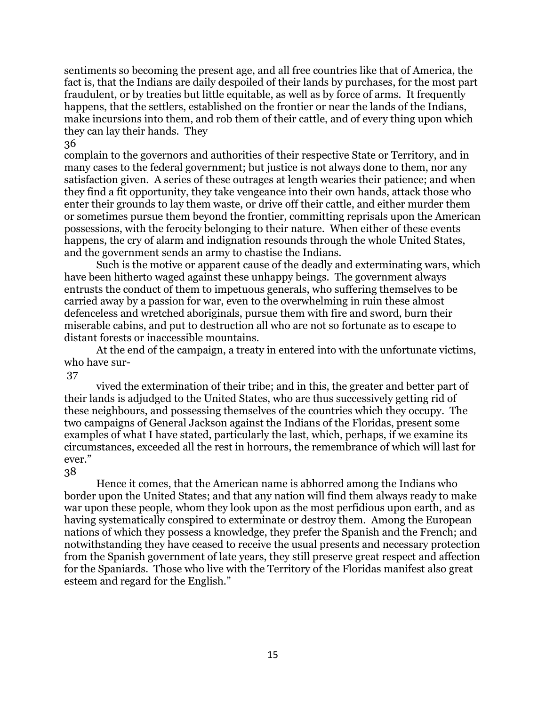sentiments so becoming the present age, and all free countries like that of America, the fact is, that the Indians are daily despoiled of their lands by purchases, for the most part fraudulent, or by treaties but little equitable, as well as by force of arms. It frequently happens, that the settlers, established on the frontier or near the lands of the Indians, make incursions into them, and rob them of their cattle, and of every thing upon which they can lay their hands. They

36

complain to the governors and authorities of their respective State or Territory, and in many cases to the federal government; but justice is not always done to them, nor any satisfaction given. A series of these outrages at length wearies their patience; and when they find a fit opportunity, they take vengeance into their own hands, attack those who enter their grounds to lay them waste, or drive off their cattle, and either murder them or sometimes pursue them beyond the frontier, committing reprisals upon the American possessions, with the ferocity belonging to their nature. When either of these events happens, the cry of alarm and indignation resounds through the whole United States, and the government sends an army to chastise the Indians.

Such is the motive or apparent cause of the deadly and exterminating wars, which have been hitherto waged against these unhappy beings. The government always entrusts the conduct of them to impetuous generals, who suffering themselves to be carried away by a passion for war, even to the overwhelming in ruin these almost defenceless and wretched aboriginals, pursue them with fire and sword, burn their miserable cabins, and put to destruction all who are not so fortunate as to escape to distant forests or inaccessible mountains.

At the end of the campaign, a treaty in entered into with the unfortunate victims, who have sur-

37

vived the extermination of their tribe; and in this, the greater and better part of their lands is adjudged to the United States, who are thus successively getting rid of these neighbours, and possessing themselves of the countries which they occupy. The two campaigns of General Jackson against the Indians of the Floridas, present some examples of what I have stated, particularly the last, which, perhaps, if we examine its circumstances, exceeded all the rest in horrours, the remembrance of which will last for ever."

#### 38

Hence it comes, that the American name is abhorred among the Indians who border upon the United States; and that any nation will find them always ready to make war upon these people, whom they look upon as the most perfidious upon earth, and as having systematically conspired to exterminate or destroy them. Among the European nations of which they possess a knowledge, they prefer the Spanish and the French; and notwithstanding they have ceased to receive the usual presents and necessary protection from the Spanish government of late years, they still preserve great respect and affection for the Spaniards. Those who live with the Territory of the Floridas manifest also great esteem and regard for the English."